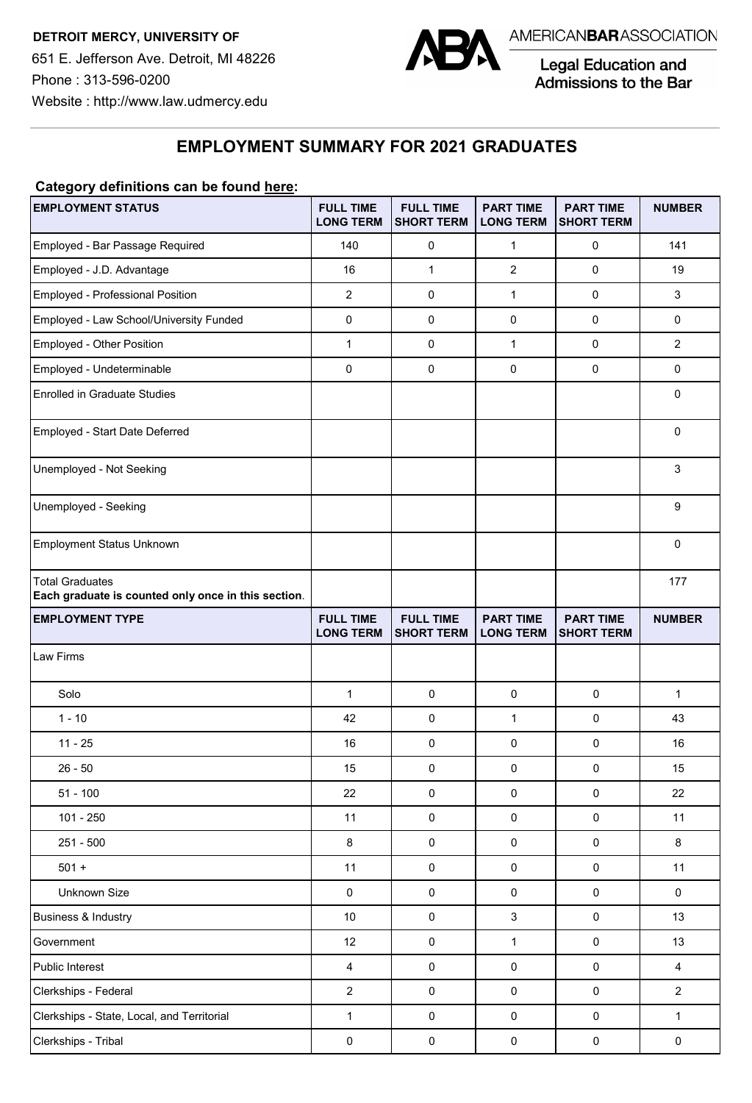

Legal Education and<br>Admissions to the Bar

**EMPLOYMENT SUMMARY FOR 2021 GRADUATES** 

## **Category definitions can be found here:**

| <b>EMPLOYMENT STATUS</b>                                                      | <b>FULL TIME</b><br><b>LONG TERM</b> | <b>FULL TIME</b><br><b>SHORT TERM</b> | <b>PART TIME</b><br><b>LONG TERM</b> | <b>PART TIME</b><br><b>SHORT TERM</b> | <b>NUMBER</b>  |
|-------------------------------------------------------------------------------|--------------------------------------|---------------------------------------|--------------------------------------|---------------------------------------|----------------|
| Employed - Bar Passage Required                                               | 140                                  | 0                                     | $\mathbf{1}$                         | 0                                     | 141            |
| Employed - J.D. Advantage                                                     | 16                                   | $\mathbf{1}$                          | $\overline{2}$                       | $\mathbf 0$                           | 19             |
| Employed - Professional Position                                              | $\overline{2}$                       | $\pmb{0}$                             | $\mathbf{1}$                         | $\mathbf 0$                           | 3              |
| Employed - Law School/University Funded                                       | $\pmb{0}$                            | $\pmb{0}$                             | $\pmb{0}$                            | $\pmb{0}$                             | 0              |
| Employed - Other Position                                                     | 1                                    | $\mathbf 0$                           | $\mathbf{1}$                         | $\mathbf 0$                           | $\overline{2}$ |
| Employed - Undeterminable                                                     | $\mathbf 0$                          | $\pmb{0}$                             | $\mathbf 0$                          | $\mathbf 0$                           | 0              |
| <b>Enrolled in Graduate Studies</b>                                           |                                      |                                       |                                      |                                       | 0              |
| Employed - Start Date Deferred                                                |                                      |                                       |                                      |                                       | 0              |
| Unemployed - Not Seeking                                                      |                                      |                                       |                                      |                                       | 3              |
| Unemployed - Seeking                                                          |                                      |                                       |                                      |                                       | 9              |
| Employment Status Unknown                                                     |                                      |                                       |                                      |                                       | 0              |
| <b>Total Graduates</b><br>Each graduate is counted only once in this section. |                                      |                                       |                                      |                                       | 177            |
| <b>EMPLOYMENT TYPE</b>                                                        | <b>FULL TIME</b><br><b>LONG TERM</b> | <b>FULL TIME</b><br><b>SHORT TERM</b> | <b>PART TIME</b><br><b>LONG TERM</b> | <b>PART TIME</b><br><b>SHORT TERM</b> | <b>NUMBER</b>  |
| Law Firms                                                                     |                                      |                                       |                                      |                                       |                |
| Solo                                                                          | $\mathbf{1}$                         | $\mathbf 0$                           | $\pmb{0}$                            | $\pmb{0}$                             | $\mathbf{1}$   |
| $1 - 10$                                                                      | 42                                   | $\mathbf 0$                           | $\mathbf{1}$                         | $\pmb{0}$                             | 43             |
| $11 - 25$                                                                     | 16                                   | $\pmb{0}$                             | 0                                    | $\pmb{0}$                             | 16             |
| $26 - 50$                                                                     | 15                                   | $\pmb{0}$                             | 0                                    | $\mathsf{O}\xspace$                   | 15             |
| $51 - 100$                                                                    | 22                                   | $\pmb{0}$                             | 0                                    | $\mathsf 0$                           | 22             |
| 101 - 250                                                                     | 11                                   | 0                                     | 0                                    | $\pmb{0}$                             | 11             |
| 251 - 500                                                                     | 8                                    | $\mathsf 0$                           | $\pmb{0}$                            | $\mathsf{O}\xspace$                   | 8              |
| $501 +$                                                                       | 11                                   | $\pmb{0}$                             | $\pmb{0}$                            | $\pmb{0}$                             | 11             |
| Unknown Size                                                                  | $\pmb{0}$                            | $\pmb{0}$                             | $\pmb{0}$                            | $\pmb{0}$                             | $\mathsf 0$    |
| Business & Industry                                                           | $10\,$                               | $\pmb{0}$                             | $\ensuremath{\mathsf{3}}$            | $\pmb{0}$                             | 13             |
| Government                                                                    | 12                                   | $\pmb{0}$                             | $\mathbf{1}$                         | $\pmb{0}$                             | 13             |
| Public Interest                                                               | 4                                    | $\pmb{0}$                             | $\pmb{0}$                            | $\pmb{0}$                             | 4              |
| Clerkships - Federal                                                          | $\overline{c}$                       | $\pmb{0}$                             | $\pmb{0}$                            | $\pmb{0}$                             | $\overline{c}$ |
| Clerkships - State, Local, and Territorial                                    | $\mathbf{1}$                         | $\mathsf{O}\xspace$                   | $\pmb{0}$                            | $\pmb{0}$                             | $\mathbf{1}$   |
| Clerkships - Tribal                                                           | 0                                    | $\pmb{0}$                             | $\pmb{0}$                            | $\pmb{0}$                             | $\pmb{0}$      |